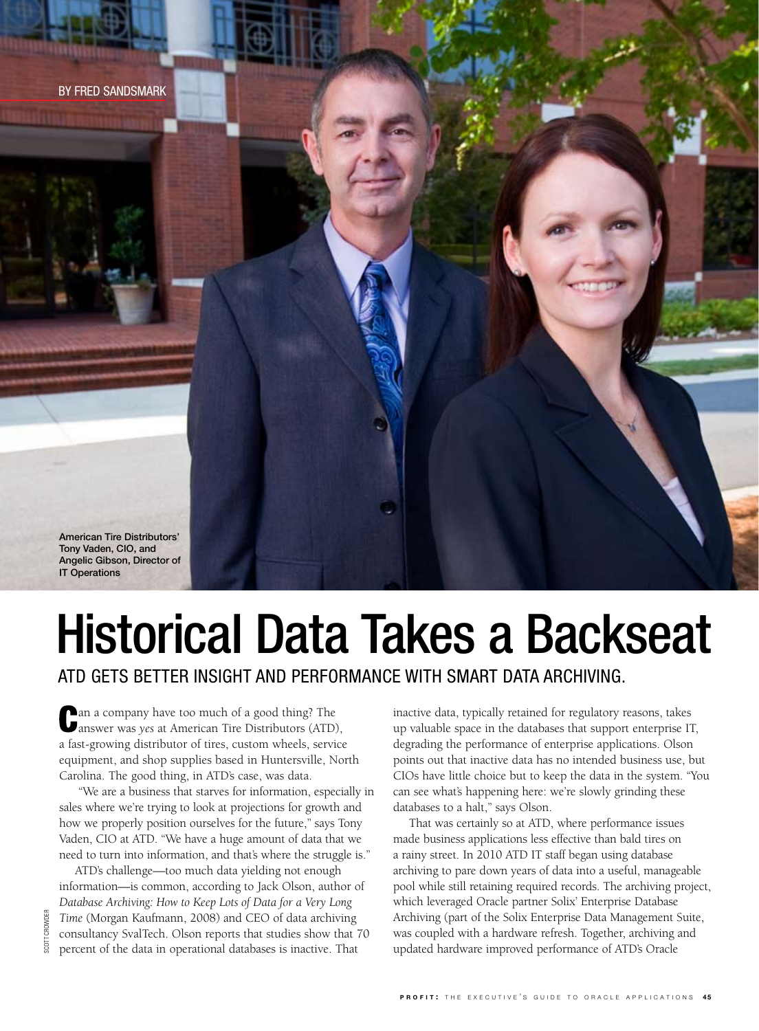



# Historical Data Takes a Backseat

ATD gets better insight and performance with smart data archiving.

an a company have too much of a good thing? The answer was *yes* at American Tire Distributors (ATD), a fast-growing distributor of tires, custom wheels, service equipment, and shop supplies based in Huntersville, North Carolina. The good thing, in ATD's case, was data.

 "We are a business that starves for information, especially in sales where we're trying to look at projections for growth and how we properly position ourselves for the future," says Tony Vaden, CIO at ATD. "We have a huge amount of data that we need to turn into information, and that's where the struggle is."

ATD's challenge—too much data yielding not enough information—is common, according to Jack Olson, author of *Database Archiving: How to Keep Lots of Data for a Very Long Time* (Morgan Kaufmann, 2008) and CEO of data archiving consultancy SvalTech. Olson reports that studies show that 70 percent of the data in operational databases is inactive. That

inactive data, typically retained for regulatory reasons, takes up valuable space in the databases that support enterprise IT, degrading the performance of enterprise applications. Olson points out that inactive data has no intended business use, but CIOs have little choice but to keep the data in the system. "You can see what's happening here: we're slowly grinding these databases to a halt," says Olson.

That was certainly so at ATD, where performance issues made business applications less effective than bald tires on a rainy street. In 2010 ATD IT staff began using database archiving to pare down years of data into a useful, manageable pool while still retaining required records. The archiving project, which leveraged Oracle partner Solix' Enterprise Database Archiving (part of the Solix Enterprise Data Management Suite, was coupled with a hardware refresh. Together, archiving and updated hardware improved performance of ATD's Oracle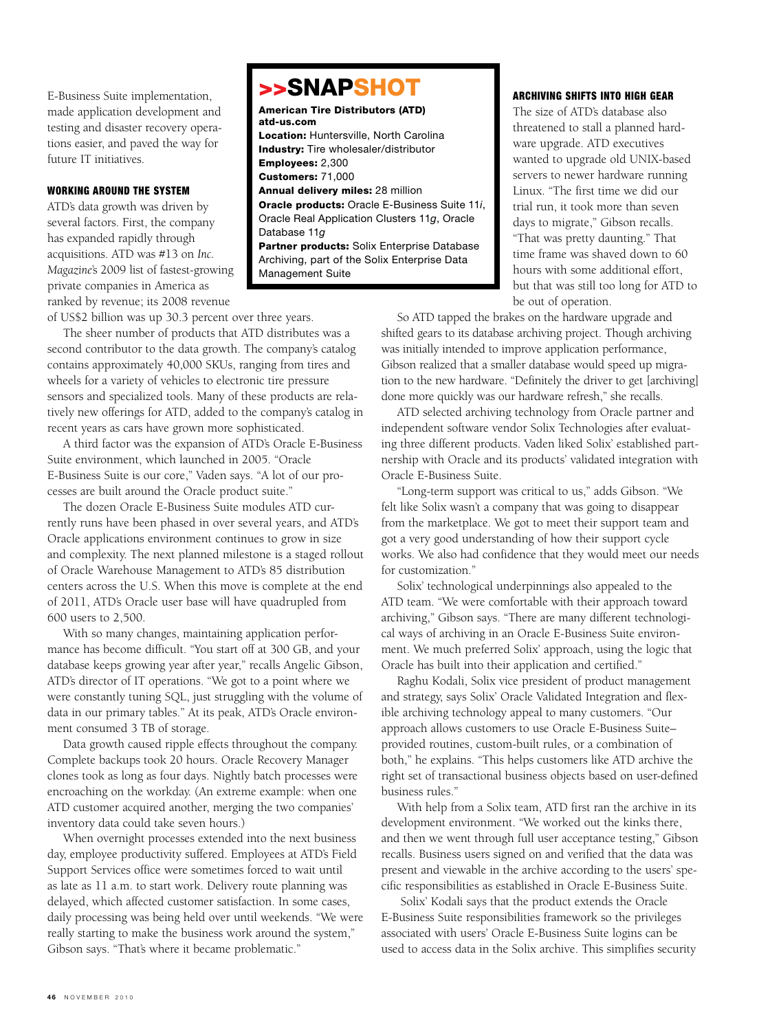E-Business Suite implementation, made application development and testing and disaster recovery operations easier, and paved the way for future IT initiatives.

#### WORKING AROUND THE SYSTEM

ATD's data growth was driven by several factors. First, the company has expanded rapidly through acquisitions. ATD was #13 on *Inc. Magazine*'s 2009 list of fastest-growing private companies in America as ranked by revenue; its 2008 revenue

>>SNAPSHOT American Tire Distributors (ATD) atd-us.com Location: Huntersville, North Carolina Industry: Tire wholesaler/distributor Employees: 2,300 Customers: 71,000 Annual delivery miles: 28 million Oracle products: Oracle E-Business Suite 11*i*, Oracle Real Application Clusters 11*g*, Oracle Database 11*g* Partner products: Solix Enterprise Database Archiving, part of the Solix Enterprise Data

Management Suite

#### ARCHIVING SHIFTS INTO HIGH GEAR

The size of ATD's database also threatened to stall a planned hardware upgrade. ATD executives wanted to upgrade old UNIX-based servers to newer hardware running Linux. "The first time we did our trial run, it took more than seven days to migrate," Gibson recalls. "That was pretty daunting." That time frame was shaved down to 60 hours with some additional effort, but that was still too long for ATD to be out of operation.

of US\$2 billion was up 30.3 percent over three years.

The sheer number of products that ATD distributes was a second contributor to the data growth. The company's catalog contains approximately 40,000 SKUs, ranging from tires and wheels for a variety of vehicles to electronic tire pressure sensors and specialized tools. Many of these products are relatively new offerings for ATD, added to the company's catalog in recent years as cars have grown more sophisticated.

A third factor was the expansion of ATD's Oracle E-Business Suite environment, which launched in 2005. "Oracle E-Business Suite is our core," Vaden says. "A lot of our processes are built around the Oracle product suite."

The dozen Oracle E-Business Suite modules ATD currently runs have been phased in over several years, and ATD's Oracle applications environment continues to grow in size and complexity. The next planned milestone is a staged rollout of Oracle Warehouse Management to ATD's 85 distribution centers across the U.S. When this move is complete at the end of 2011, ATD's Oracle user base will have quadrupled from 600 users to 2,500.

With so many changes, maintaining application performance has become difficult. "You start off at 300 GB, and your database keeps growing year after year," recalls Angelic Gibson, ATD's director of IT operations. "We got to a point where we were constantly tuning SQL, just struggling with the volume of data in our primary tables." At its peak, ATD's Oracle environment consumed 3 TB of storage.

Data growth caused ripple effects throughout the company. Complete backups took 20 hours. Oracle Recovery Manager clones took as long as four days. Nightly batch processes were encroaching on the workday. (An extreme example: when one ATD customer acquired another, merging the two companies' inventory data could take seven hours.)

When overnight processes extended into the next business day, employee productivity suffered. Employees at ATD's Field Support Services office were sometimes forced to wait until as late as 11 a.m. to start work. Delivery route planning was delayed, which affected customer satisfaction. In some cases, daily processing was being held over until weekends. "We were really starting to make the business work around the system," Gibson says. "That's where it became problematic."

So ATD tapped the brakes on the hardware upgrade and shifted gears to its database archiving project. Though archiving was initially intended to improve application performance, Gibson realized that a smaller database would speed up migration to the new hardware. "Definitely the driver to get [archiving] done more quickly was our hardware refresh," she recalls.

ATD selected archiving technology from Oracle partner and independent software vendor Solix Technologies after evaluating three different products. Vaden liked Solix' established partnership with Oracle and its products' validated integration with Oracle E-Business Suite.

"Long-term support was critical to us," adds Gibson. "We felt like Solix wasn't a company that was going to disappear from the marketplace. We got to meet their support team and got a very good understanding of how their support cycle works. We also had confidence that they would meet our needs for customization."

Solix' technological underpinnings also appealed to the ATD team. "We were comfortable with their approach toward archiving," Gibson says. "There are many different technological ways of archiving in an Oracle E-Business Suite environment. We much preferred Solix' approach, using the logic that Oracle has built into their application and certified."

Raghu Kodali, Solix vice president of product management and strategy, says Solix' Oracle Validated Integration and flexible archiving technology appeal to many customers. "Our approach allows customers to use Oracle E-Business Suite– provided routines, custom-built rules, or a combination of both," he explains. "This helps customers like ATD archive the right set of transactional business objects based on user-defined business rules."

With help from a Solix team, ATD first ran the archive in its development environment. "We worked out the kinks there, and then we went through full user acceptance testing," Gibson recalls. Business users signed on and verified that the data was present and viewable in the archive according to the users' specific responsibilities as established in Oracle E-Business Suite.

 Solix' Kodali says that the product extends the Oracle E-Business Suite responsibilities framework so the privileges associated with users' Oracle E-Business Suite logins can be used to access data in the Solix archive. This simplifies security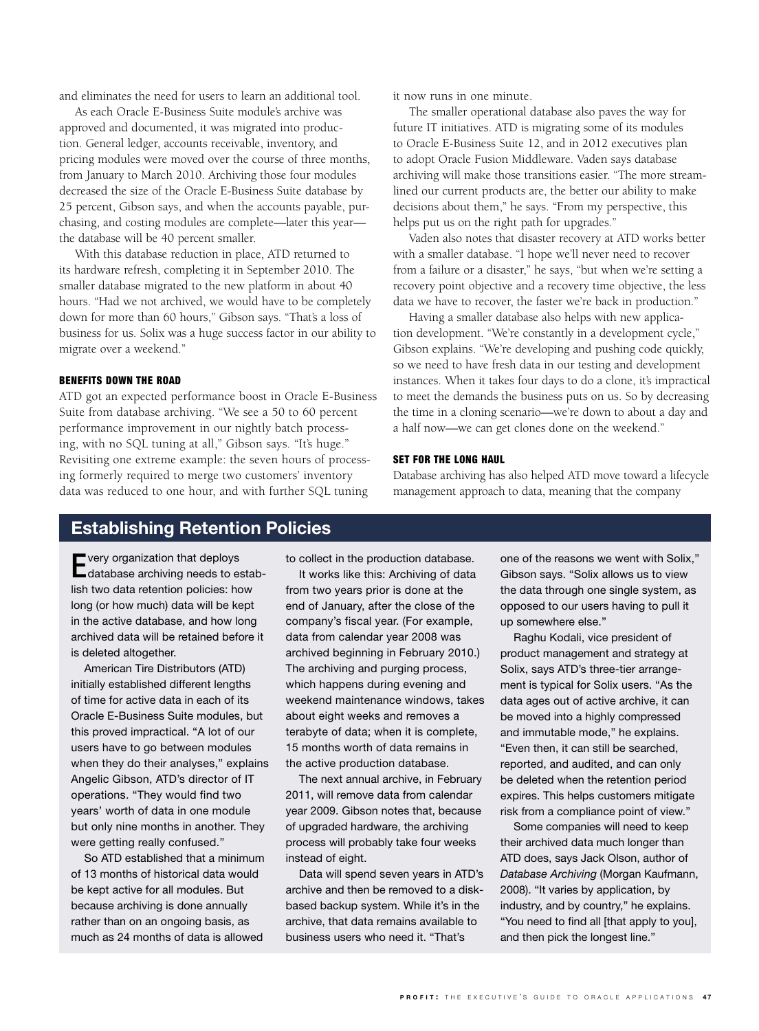and eliminates the need for users to learn an additional tool.

As each Oracle E-Business Suite module's archive was approved and documented, it was migrated into production. General ledger, accounts receivable, inventory, and pricing modules were moved over the course of three months, from January to March 2010. Archiving those four modules decreased the size of the Oracle E-Business Suite database by 25 percent, Gibson says, and when the accounts payable, purchasing, and costing modules are complete—later this year the database will be 40 percent smaller.

With this database reduction in place, ATD returned to its hardware refresh, completing it in September 2010. The smaller database migrated to the new platform in about 40 hours. "Had we not archived, we would have to be completely down for more than 60 hours," Gibson says. "That's a loss of business for us. Solix was a huge success factor in our ability to migrate over a weekend."

#### BENEFITS DOWN THE ROAD

ATD got an expected performance boost in Oracle E-Business Suite from database archiving. "We see a 50 to 60 percent performance improvement in our nightly batch processing, with no SQL tuning at all," Gibson says. "It's huge." Revisiting one extreme example: the seven hours of processing formerly required to merge two customers' inventory data was reduced to one hour, and with further SQL tuning

it now runs in one minute.

The smaller operational database also paves the way for future IT initiatives. ATD is migrating some of its modules to Oracle E-Business Suite 12, and in 2012 executives plan to adopt Oracle Fusion Middleware. Vaden says database archiving will make those transitions easier. "The more streamlined our current products are, the better our ability to make decisions about them," he says. "From my perspective, this helps put us on the right path for upgrades."

Vaden also notes that disaster recovery at ATD works better with a smaller database. "I hope we'll never need to recover from a failure or a disaster," he says, "but when we're setting a recovery point objective and a recovery time objective, the less data we have to recover, the faster we're back in production."

Having a smaller database also helps with new application development. "We're constantly in a development cycle," Gibson explains. "We're developing and pushing code quickly, so we need to have fresh data in our testing and development instances. When it takes four days to do a clone, it's impractical to meet the demands the business puts on us. So by decreasing the time in a cloning scenario—we're down to about a day and a half now—we can get clones done on the weekend."

#### SET FOR THE LONG HAUL

Database archiving has also helped ATD move toward a lifecycle management approach to data, meaning that the company

### Establishing Retention Policies

Every organization that deploys database archiving needs to establish two data retention policies: how long (or how much) data will be kept in the active database, and how long archived data will be retained before it is deleted altogether.

American Tire Distributors (ATD) initially established different lengths of time for active data in each of its Oracle E-Business Suite modules, but this proved impractical. "A lot of our users have to go between modules when they do their analyses," explains Angelic Gibson, ATD's director of IT operations. "They would find two years' worth of data in one module but only nine months in another. They were getting really confused."

So ATD established that a minimum of 13 months of historical data would be kept active for all modules. But because archiving is done annually rather than on an ongoing basis, as much as 24 months of data is allowed

to collect in the production database.

It works like this: Archiving of data from two years prior is done at the end of January, after the close of the company's fiscal year. (For example, data from calendar year 2008 was archived beginning in February 2010.) The archiving and purging process, which happens during evening and weekend maintenance windows, takes about eight weeks and removes a terabyte of data; when it is complete, 15 months worth of data remains in the active production database.

The next annual archive, in February 2011, will remove data from calendar year 2009. Gibson notes that, because of upgraded hardware, the archiving process will probably take four weeks instead of eight.

Data will spend seven years in ATD's archive and then be removed to a diskbased backup system. While it's in the archive, that data remains available to business users who need it. "That's

one of the reasons we went with Solix," Gibson says. "Solix allows us to view the data through one single system, as opposed to our users having to pull it up somewhere else."

Raghu Kodali, vice president of product management and strategy at Solix, says ATD's three-tier arrangement is typical for Solix users. "As the data ages out of active archive, it can be moved into a highly compressed and immutable mode," he explains. "Even then, it can still be searched, reported, and audited, and can only be deleted when the retention period expires. This helps customers mitigate risk from a compliance point of view."

Some companies will need to keep their archived data much longer than ATD does, says Jack Olson, author of *Database Archiving* (Morgan Kaufmann, 2008). "It varies by application, by industry, and by country," he explains. "You need to find all [that apply to you], and then pick the longest line."